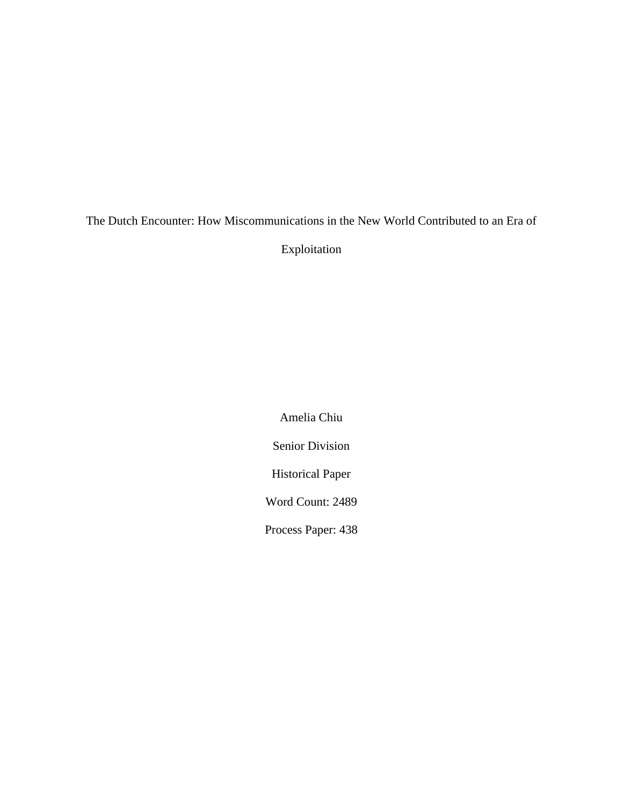# The Dutch Encounter: How Miscommunications in the New World Contributed to an Era of Exploitation

Amelia Chiu Senior Division Historical Paper Word Count: 2489 Process Paper: 438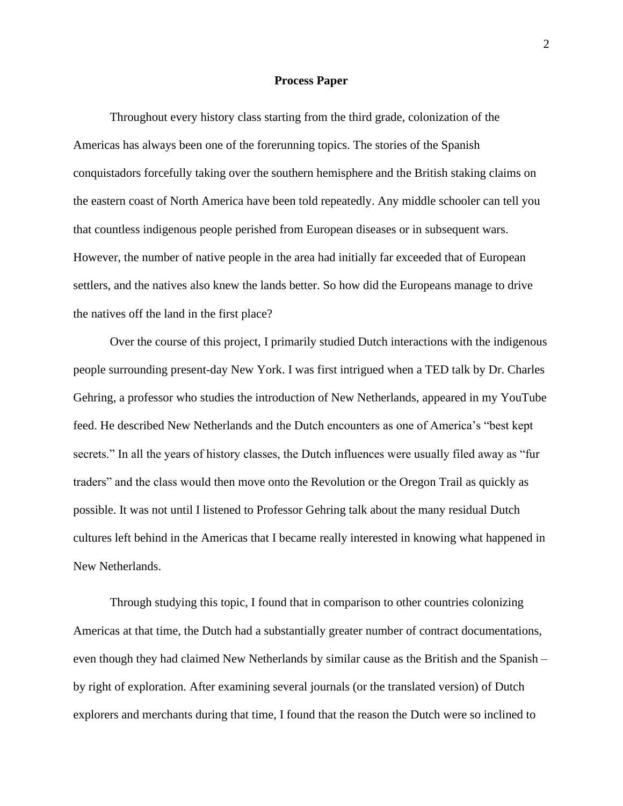#### **Process Paper**

Throughout every history class starting from the third grade, colonization of the Americas has always been one of the forerunning topics. The stories of the Spanish conquistadors forcefully taking over the southern hemisphere and the British staking claims on the eastern coast of North America have been told repeatedly. Any middle schooler can tell you that countless indigenous people perished from European diseases or in subsequent wars. However, the number of native people in the area had initially far exceeded that of European settlers, and the natives also knew the lands better. So how did the Europeans manage to drive the natives off the land in the first place?

Over the course of this project, I primarily studied Dutch interactions with the indigenous people surrounding present-day New York. I was first intrigued when a TED talk by Dr. Charles Gehring, a professor who studies the introduction of New Netherlands, appeared in my YouTube feed. He described New Netherlands and the Dutch encounters as one of America's "best kept secrets." In all the years of history classes, the Dutch influences were usually filed away as "fur traders" and the class would then move onto the Revolution or the Oregon Trail as quickly as possible. It was not until I listened to Professor Gehring talk about the many residual Dutch cultures left behind in the Americas that I became really interested in knowing what happened in New Netherlands.

Through studying this topic, I found that in comparison to other countries colonizing Americas at that time, the Dutch had a substantially greater number of contract documentations, even though they had claimed New Netherlands by similar cause as the British and the Spanish – by right of exploration. After examining several journals (or the translated version) of Dutch explorers and merchants during that time, I found that the reason the Dutch were so inclined to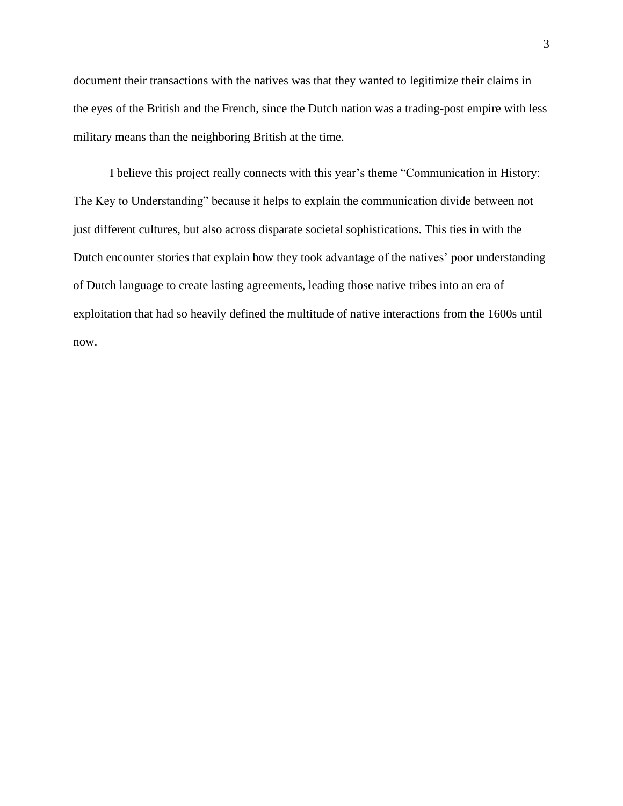document their transactions with the natives was that they wanted to legitimize their claims in the eyes of the British and the French, since the Dutch nation was a trading-post empire with less military means than the neighboring British at the time.

I believe this project really connects with this year's theme "Communication in History: The Key to Understanding" because it helps to explain the communication divide between not just different cultures, but also across disparate societal sophistications. This ties in with the Dutch encounter stories that explain how they took advantage of the natives' poor understanding of Dutch language to create lasting agreements, leading those native tribes into an era of exploitation that had so heavily defined the multitude of native interactions from the 1600s until now.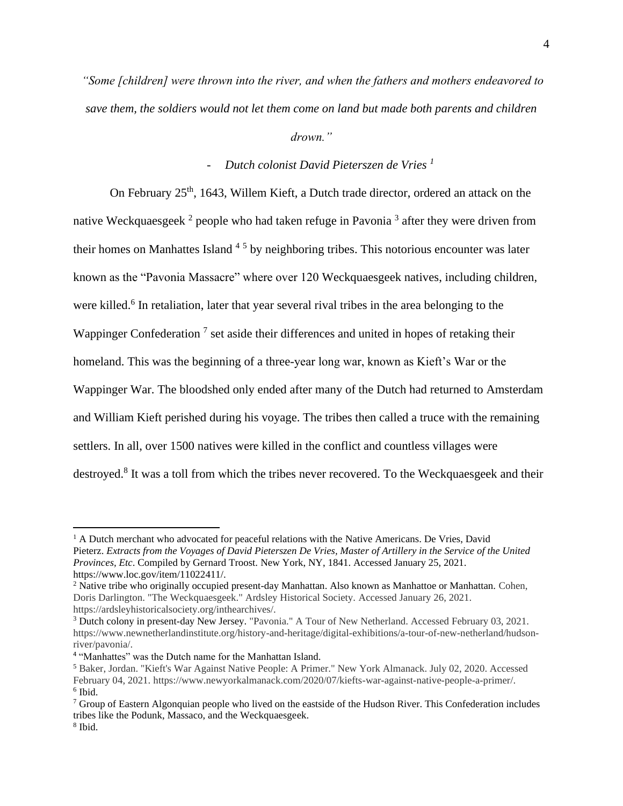*"Some [children] were thrown into the river, and when the fathers and mothers endeavored to save them, the soldiers would not let them come on land but made both parents and children* 

*drown."*

# - *Dutch colonist David Pieterszen de Vries <sup>1</sup>*

On February  $25<sup>th</sup>$ , 1643, Willem Kieft, a Dutch trade director, ordered an attack on the native Weckquaesgeek<sup>2</sup> people who had taken refuge in Pavonia<sup>3</sup> after they were driven from their homes on Manhattes Island <sup>45</sup> by neighboring tribes. This notorious encounter was later known as the "Pavonia Massacre" where over 120 Weckquaesgeek natives, including children, were killed.<sup>6</sup> In retaliation, later that year several rival tribes in the area belonging to the Wappinger Confederation<sup>7</sup> set aside their differences and united in hopes of retaking their homeland. This was the beginning of a three-year long war, known as Kieft's War or the Wappinger War. The bloodshed only ended after many of the Dutch had returned to Amsterdam and William Kieft perished during his voyage. The tribes then called a truce with the remaining settlers. In all, over 1500 natives were killed in the conflict and countless villages were destroyed.<sup>8</sup> It was a toll from which the tribes never recovered. To the Weckquaesgeek and their

<sup>&</sup>lt;sup>1</sup> A Dutch merchant who advocated for peaceful relations with the Native Americans. De Vries, David Pieterz. *Extracts from the Voyages of David Pieterszen De Vries, Master of Artillery in the Service of the United Provinces, Etc*. Compiled by Gernard Troost. New York, NY, 1841. Accessed January 25, 2021. https://www.loc.gov/item/11022411/.

<sup>&</sup>lt;sup>2</sup> Native tribe who originally occupied present-day Manhattan. Also known as Manhattoe or Manhattan. Cohen, Doris Darlington. "The Weckquaesgeek." Ardsley Historical Society. Accessed January 26, 2021. https://ardsleyhistoricalsociety.org/inthearchives/.

<sup>3</sup> Dutch colony in present-day New Jersey. "Pavonia." A Tour of New Netherland. Accessed February 03, 2021. https://www.newnetherlandinstitute.org/history-and-heritage/digital-exhibitions/a-tour-of-new-netherland/hudsonriver/pavonia/.

<sup>&</sup>lt;sup>4</sup> "Manhattes" was the Dutch name for the Manhattan Island.

<sup>5</sup> Baker, Jordan. "Kieft's War Against Native People: A Primer." New York Almanack. July 02, 2020. Accessed February 04, 2021. https://www.newyorkalmanack.com/2020/07/kiefts-war-against-native-people-a-primer/. 6 Ibid.

<sup>7</sup> Group of Eastern Algonquian people who lived on the eastside of the Hudson River. This Confederation includes tribes like the Podunk, Massaco, and the Weckquaesgeek.

<sup>8</sup> Ibid.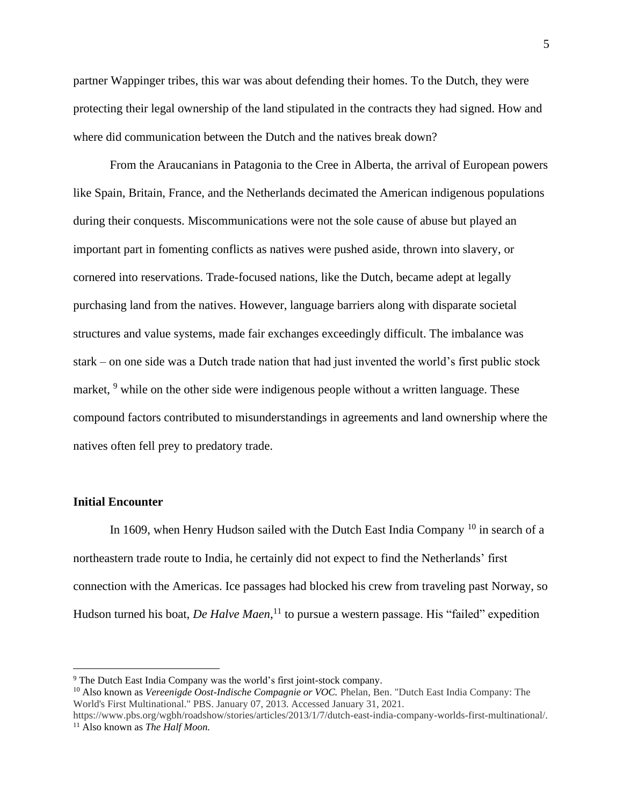partner Wappinger tribes, this war was about defending their homes. To the Dutch, they were protecting their legal ownership of the land stipulated in the contracts they had signed. How and where did communication between the Dutch and the natives break down?

From the Araucanians in Patagonia to the Cree in Alberta, the arrival of European powers like Spain, Britain, France, and the Netherlands decimated the American indigenous populations during their conquests. Miscommunications were not the sole cause of abuse but played an important part in fomenting conflicts as natives were pushed aside, thrown into slavery, or cornered into reservations. Trade-focused nations, like the Dutch, became adept at legally purchasing land from the natives. However, language barriers along with disparate societal structures and value systems, made fair exchanges exceedingly difficult. The imbalance was stark – on one side was a Dutch trade nation that had just invented the world's first public stock market, <sup>9</sup> while on the other side were indigenous people without a written language. These compound factors contributed to misunderstandings in agreements and land ownership where the natives often fell prey to predatory trade.

## **Initial Encounter**

In 1609, when Henry Hudson sailed with the Dutch East India Company <sup>10</sup> in search of a northeastern trade route to India, he certainly did not expect to find the Netherlands' first connection with the Americas. Ice passages had blocked his crew from traveling past Norway, so Hudson turned his boat, *De Halve Maen*, <sup>11</sup> to pursue a western passage. His "failed" expedition

<sup>9</sup> The Dutch East India Company was the world's first joint-stock company.

<sup>&</sup>lt;sup>10</sup> Also known as *Vereenigde Oost-Indische Compagnie or VOC*. Phelan, Ben. "Dutch East India Company: The World's First Multinational." PBS. January 07, 2013. Accessed January 31, 2021.

https://www.pbs.org/wgbh/roadshow/stories/articles/2013/1/7/dutch-east-india-company-worlds-first-multinational/. <sup>11</sup> Also known as *The Half Moon.*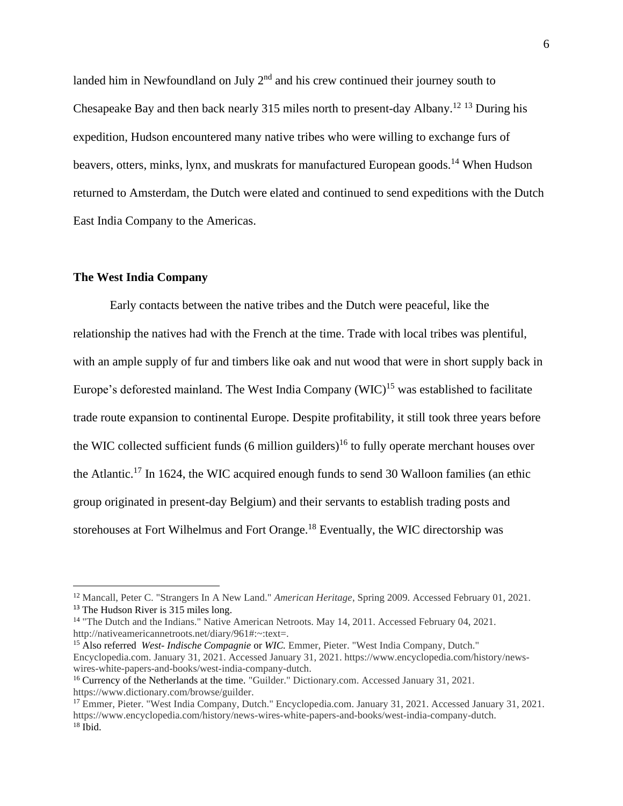landed him in Newfoundland on July 2<sup>nd</sup> and his crew continued their journey south to Chesapeake Bay and then back nearly 315 miles north to present-day Albany.<sup>12 13</sup> During his expedition, Hudson encountered many native tribes who were willing to exchange furs of beavers, otters, minks, lynx, and muskrats for manufactured European goods.<sup>14</sup> When Hudson returned to Amsterdam, the Dutch were elated and continued to send expeditions with the Dutch East India Company to the Americas.

# **The West India Company**

Early contacts between the native tribes and the Dutch were peaceful, like the relationship the natives had with the French at the time. Trade with local tribes was plentiful, with an ample supply of fur and timbers like oak and nut wood that were in short supply back in Europe's deforested mainland. The West India Company  $(WIC)^{15}$  was established to facilitate trade route expansion to continental Europe. Despite profitability, it still took three years before the WIC collected sufficient funds (6 million guilders)<sup>16</sup> to fully operate merchant houses over the Atlantic.<sup>17</sup> In 1624, the WIC acquired enough funds to send 30 Walloon families (an ethic group originated in present-day Belgium) and their servants to establish trading posts and storehouses at Fort Wilhelmus and Fort Orange.<sup>18</sup> Eventually, the WIC directorship was

<sup>12</sup> Mancall, Peter C. "Strangers In A New Land." *American Heritage*, Spring 2009. Accessed February 01, 2021. <sup>13</sup> The Hudson River is 315 miles long.

<sup>&</sup>lt;sup>14</sup> "The Dutch and the Indians." Native American Netroots. May 14, 2011. Accessed February 04, 2021. http://nativeamericannetroots.net/diary/961#:~:text=.

<sup>&</sup>lt;sup>15</sup> Also referred *West-Indische Compagnie* or *WIC*. Emmer, Pieter. "West India Company, Dutch." Encyclopedia.com. January 31, 2021. Accessed January 31, 2021. https://www.encyclopedia.com/history/newswires-white-papers-and-books/west-india-company-dutch.

<sup>&</sup>lt;sup>16</sup> Currency of the Netherlands at the time. "Guilder." Dictionary.com. Accessed January 31, 2021. https://www.dictionary.com/browse/guilder.

<sup>17</sup> Emmer, Pieter. "West India Company, Dutch." Encyclopedia.com. January 31, 2021. Accessed January 31, 2021. https://www.encyclopedia.com/history/news-wires-white-papers-and-books/west-india-company-dutch.  $18$  Ibid.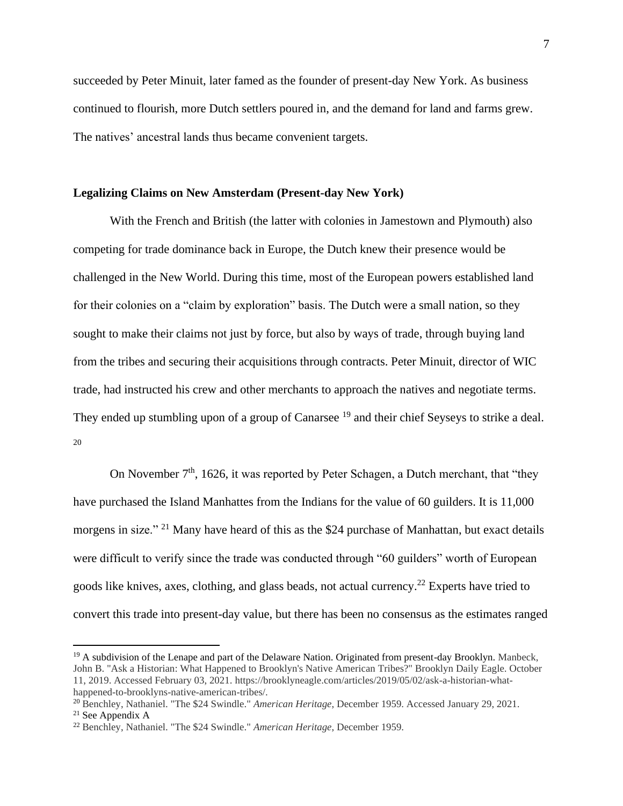succeeded by Peter Minuit, later famed as the founder of present-day New York. As business continued to flourish, more Dutch settlers poured in, and the demand for land and farms grew. The natives' ancestral lands thus became convenient targets.

# **Legalizing Claims on New Amsterdam (Present-day New York)**

With the French and British (the latter with colonies in Jamestown and Plymouth) also competing for trade dominance back in Europe, the Dutch knew their presence would be challenged in the New World. During this time, most of the European powers established land for their colonies on a "claim by exploration" basis. The Dutch were a small nation, so they sought to make their claims not just by force, but also by ways of trade, through buying land from the tribes and securing their acquisitions through contracts. Peter Minuit, director of WIC trade, had instructed his crew and other merchants to approach the natives and negotiate terms. They ended up stumbling upon of a group of Canarsee<sup>19</sup> and their chief Seyseys to strike a deal. 20

On November  $7<sup>th</sup>$ , 1626, it was reported by Peter Schagen, a Dutch merchant, that "they have purchased the Island Manhattes from the Indians for the value of 60 guilders. It is 11,000 morgens in size." <sup>21</sup> Many have heard of this as the \$24 purchase of Manhattan, but exact details were difficult to verify since the trade was conducted through "60 guilders" worth of European goods like knives, axes, clothing, and glass beads, not actual currency.<sup>22</sup> Experts have tried to convert this trade into present-day value, but there has been no consensus as the estimates ranged

 $19$  A subdivision of the Lenape and part of the Delaware Nation. Originated from present-day Brooklyn. Manbeck, John B. "Ask a Historian: What Happened to Brooklyn's Native American Tribes?" Brooklyn Daily Eagle. October 11, 2019. Accessed February 03, 2021. https://brooklyneagle.com/articles/2019/05/02/ask-a-historian-whathappened-to-brooklyns-native-american-tribes/.

<sup>20</sup> Benchley, Nathaniel. "The \$24 Swindle." *American Heritage*, December 1959. Accessed January 29, 2021.  $21$  See Appendix A

<sup>22</sup> Benchley, Nathaniel. "The \$24 Swindle." *American Heritage*, December 1959.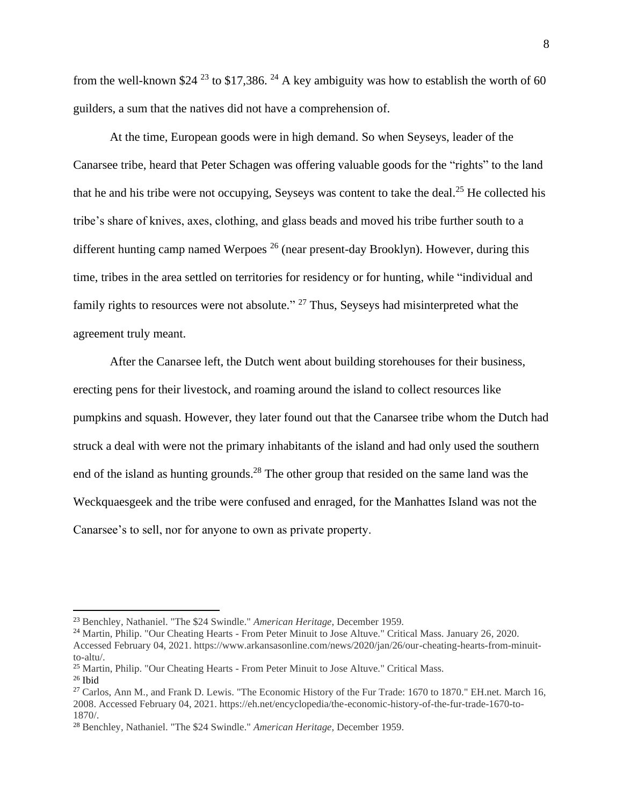from the well-known \$24<sup>23</sup> to \$17,386.<sup>24</sup> A key ambiguity was how to establish the worth of 60 guilders, a sum that the natives did not have a comprehension of.

At the time, European goods were in high demand. So when Seyseys, leader of the Canarsee tribe, heard that Peter Schagen was offering valuable goods for the "rights" to the land that he and his tribe were not occupying, Seyseys was content to take the deal.<sup>25</sup> He collected his tribe's share of knives, axes, clothing, and glass beads and moved his tribe further south to a different hunting camp named Werpoes<sup>26</sup> (near present-day Brooklyn). However, during this time, tribes in the area settled on territories for residency or for hunting, while "individual and family rights to resources were not absolute." <sup>27</sup> Thus, Seyseys had misinterpreted what the agreement truly meant.

After the Canarsee left, the Dutch went about building storehouses for their business, erecting pens for their livestock, and roaming around the island to collect resources like pumpkins and squash. However, they later found out that the Canarsee tribe whom the Dutch had struck a deal with were not the primary inhabitants of the island and had only used the southern end of the island as hunting grounds.<sup>28</sup> The other group that resided on the same land was the Weckquaesgeek and the tribe were confused and enraged, for the Manhattes Island was not the Canarsee's to sell, nor for anyone to own as private property.

<sup>23</sup> Benchley, Nathaniel. "The \$24 Swindle." *American Heritage*, December 1959.

<sup>24</sup> Martin, Philip. "Our Cheating Hearts - From Peter Minuit to Jose Altuve." Critical Mass. January 26, 2020. Accessed February 04, 2021. https://www.arkansasonline.com/news/2020/jan/26/our-cheating-hearts-from-minuitto-altu/.

<sup>&</sup>lt;sup>25</sup> Martin, Philip. "Our Cheating Hearts - From Peter Minuit to Jose Altuve." Critical Mass.  $26$  Ibid

<sup>&</sup>lt;sup>27</sup> Carlos, Ann M., and Frank D. Lewis. "The Economic History of the Fur Trade: 1670 to 1870." EH.net. March 16, 2008. Accessed February 04, 2021. https://eh.net/encyclopedia/the-economic-history-of-the-fur-trade-1670-to-1870/.

<sup>28</sup> Benchley, Nathaniel. "The \$24 Swindle." *American Heritage*, December 1959.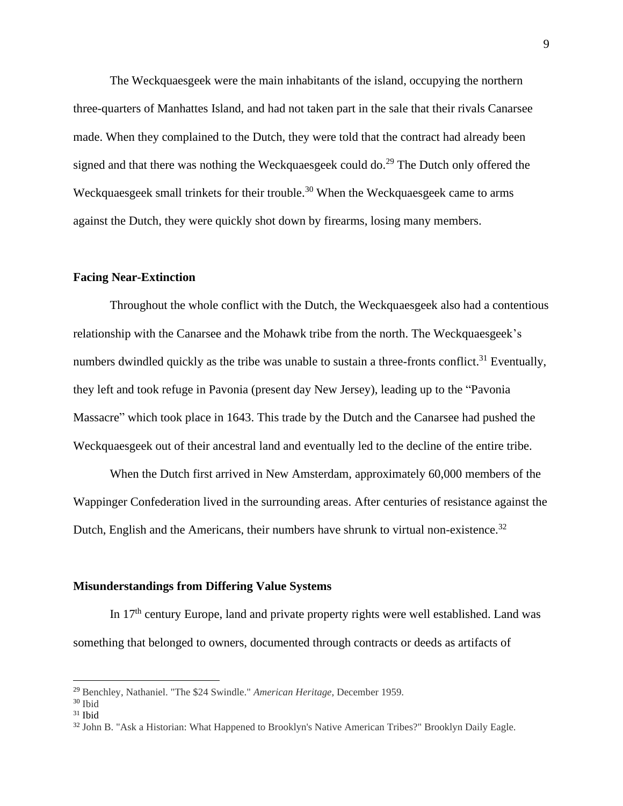The Weckquaesgeek were the main inhabitants of the island, occupying the northern three-quarters of Manhattes Island, and had not taken part in the sale that their rivals Canarsee made. When they complained to the Dutch, they were told that the contract had already been signed and that there was nothing the Weckquaesgeek could do.<sup>29</sup> The Dutch only offered the Weckquaesgeek small trinkets for their trouble.<sup>30</sup> When the Weckquaesgeek came to arms against the Dutch, they were quickly shot down by firearms, losing many members.

# **Facing Near-Extinction**

Throughout the whole conflict with the Dutch, the Weckquaesgeek also had a contentious relationship with the Canarsee and the Mohawk tribe from the north. The Weckquaesgeek's numbers dwindled quickly as the tribe was unable to sustain a three-fronts conflict.<sup>31</sup> Eventually, they left and took refuge in Pavonia (present day New Jersey), leading up to the "Pavonia Massacre" which took place in 1643. This trade by the Dutch and the Canarsee had pushed the Weckquaesgeek out of their ancestral land and eventually led to the decline of the entire tribe.

When the Dutch first arrived in New Amsterdam, approximately 60,000 members of the Wappinger Confederation lived in the surrounding areas. After centuries of resistance against the Dutch, English and the Americans, their numbers have shrunk to virtual non-existence.<sup>32</sup>

#### **Misunderstandings from Differing Value Systems**

In 17<sup>th</sup> century Europe, land and private property rights were well established. Land was something that belonged to owners, documented through contracts or deeds as artifacts of

<sup>29</sup> Benchley, Nathaniel. "The \$24 Swindle." *American Heritage*, December 1959.

<sup>30</sup> Ibid

 $31$  Ibid

<sup>32</sup> John B. "Ask a Historian: What Happened to Brooklyn's Native American Tribes?" Brooklyn Daily Eagle.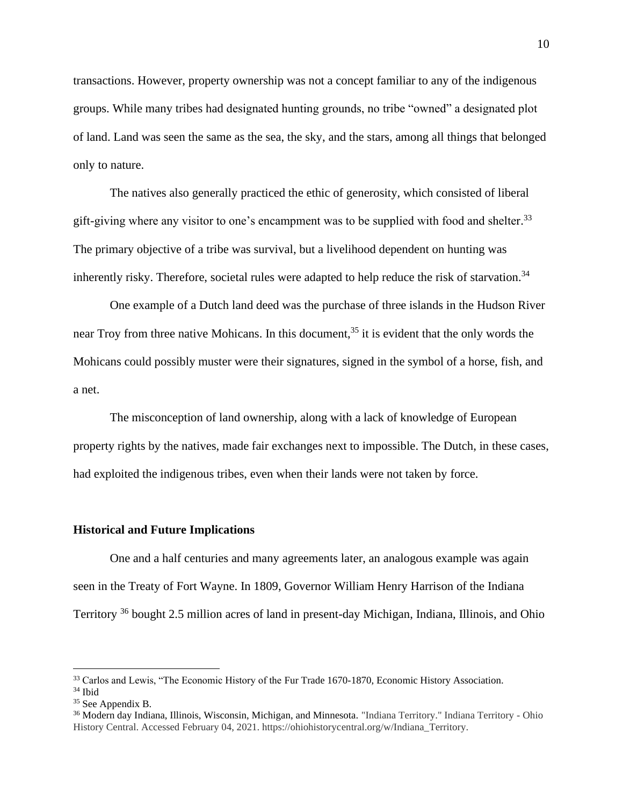transactions. However, property ownership was not a concept familiar to any of the indigenous groups. While many tribes had designated hunting grounds, no tribe "owned" a designated plot of land. Land was seen the same as the sea, the sky, and the stars, among all things that belonged only to nature.

The natives also generally practiced the ethic of generosity, which consisted of liberal gift-giving where any visitor to one's encampment was to be supplied with food and shelter.<sup>33</sup> The primary objective of a tribe was survival, but a livelihood dependent on hunting was inherently risky. Therefore, societal rules were adapted to help reduce the risk of starvation.<sup>34</sup>

One example of a Dutch land deed was the purchase of three islands in the Hudson River near Troy from three native Mohicans. In this document,<sup>35</sup> it is evident that the only words the Mohicans could possibly muster were their signatures, signed in the symbol of a horse, fish, and a net.

The misconception of land ownership, along with a lack of knowledge of European property rights by the natives, made fair exchanges next to impossible. The Dutch, in these cases, had exploited the indigenous tribes, even when their lands were not taken by force.

#### **Historical and Future Implications**

One and a half centuries and many agreements later, an analogous example was again seen in the Treaty of Fort Wayne. In 1809, Governor William Henry Harrison of the Indiana Territory <sup>36</sup> bought 2.5 million acres of land in present-day Michigan, Indiana, Illinois, and Ohio

<sup>&</sup>lt;sup>33</sup> Carlos and Lewis, "The Economic History of the Fur Trade 1670-1870, Economic History Association. <sup>34</sup> Ibid

<sup>&</sup>lt;sup>35</sup> See Appendix B.

<sup>36</sup> Modern day Indiana, Illinois, Wisconsin, Michigan, and Minnesota. "Indiana Territory." Indiana Territory - Ohio History Central. Accessed February 04, 2021. https://ohiohistorycentral.org/w/Indiana\_Territory.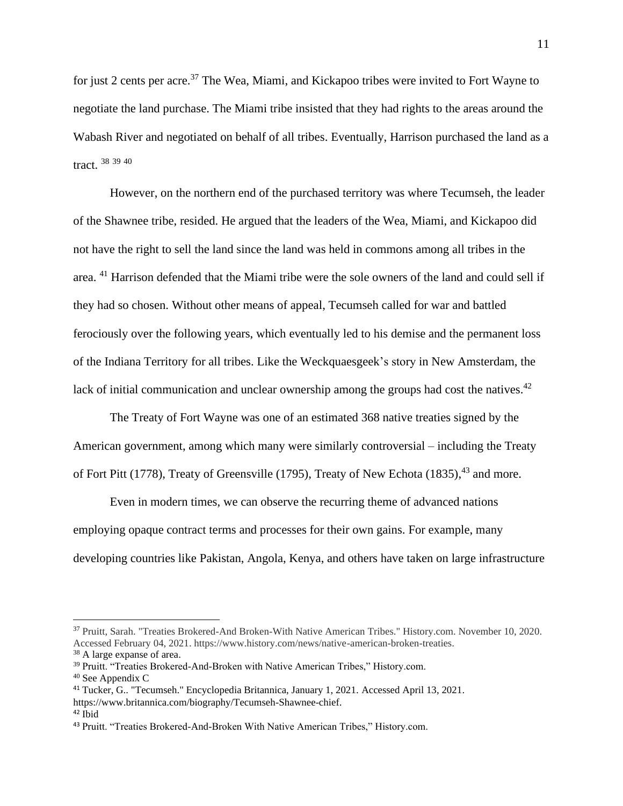for just 2 cents per acre.<sup>37</sup> The Wea, Miami, and Kickapoo tribes were invited to Fort Wayne to negotiate the land purchase. The Miami tribe insisted that they had rights to the areas around the Wabash River and negotiated on behalf of all tribes. Eventually, Harrison purchased the land as a tract. 38 39 40

However, on the northern end of the purchased territory was where Tecumseh, the leader of the Shawnee tribe, resided. He argued that the leaders of the Wea, Miami, and Kickapoo did not have the right to sell the land since the land was held in commons among all tribes in the area. <sup>41</sup> Harrison defended that the Miami tribe were the sole owners of the land and could sell if they had so chosen. Without other means of appeal, Tecumseh called for war and battled ferociously over the following years, which eventually led to his demise and the permanent loss of the Indiana Territory for all tribes. Like the Weckquaesgeek's story in New Amsterdam, the lack of initial communication and unclear ownership among the groups had cost the natives.<sup>42</sup>

The Treaty of Fort Wayne was one of an estimated 368 native treaties signed by the American government, among which many were similarly controversial – including the Treaty of Fort Pitt (1778), Treaty of Greensville (1795), Treaty of New Echota (1835),<sup>43</sup> and more.

Even in modern times, we can observe the recurring theme of advanced nations employing opaque contract terms and processes for their own gains. For example, many developing countries like Pakistan, Angola, Kenya, and others have taken on large infrastructure

<sup>37</sup> Pruitt, Sarah. "Treaties Brokered-And Broken-With Native American Tribes." History.com. November 10, 2020. Accessed February 04, 2021. https://www.history.com/news/native-american-broken-treaties.

<sup>38</sup> A large expanse of area.

<sup>&</sup>lt;sup>39</sup> Pruitt. "Treaties Brokered-And-Broken with Native American Tribes," History.com.

<sup>40</sup> See Appendix C

<sup>41</sup> Tucker, G.. "Tecumseh." Encyclopedia Britannica, January 1, 2021. Accessed April 13, 2021. https://www.britannica.com/biography/Tecumseh-Shawnee-chief.

<sup>42</sup> Ibid

<sup>43</sup> Pruitt. "Treaties Brokered-And-Broken With Native American Tribes," History.com.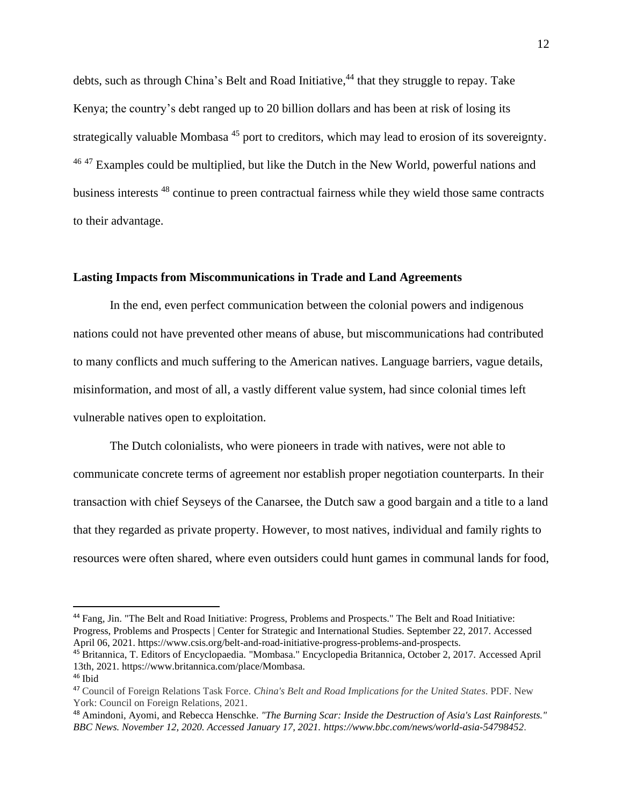debts, such as through China's Belt and Road Initiative,<sup>44</sup> that they struggle to repay. Take Kenya; the country's debt ranged up to 20 billion dollars and has been at risk of losing its strategically valuable Mombasa<sup>45</sup> port to creditors, which may lead to erosion of its sovereignty.  $46$ <sup>47</sup> Examples could be multiplied, but like the Dutch in the New World, powerful nations and business interests <sup>48</sup> continue to preen contractual fairness while they wield those same contracts to their advantage.

# **Lasting Impacts from Miscommunications in Trade and Land Agreements**

In the end, even perfect communication between the colonial powers and indigenous nations could not have prevented other means of abuse, but miscommunications had contributed to many conflicts and much suffering to the American natives. Language barriers, vague details, misinformation, and most of all, a vastly different value system, had since colonial times left vulnerable natives open to exploitation.

The Dutch colonialists, who were pioneers in trade with natives, were not able to communicate concrete terms of agreement nor establish proper negotiation counterparts. In their transaction with chief Seyseys of the Canarsee, the Dutch saw a good bargain and a title to a land that they regarded as private property. However, to most natives, individual and family rights to resources were often shared, where even outsiders could hunt games in communal lands for food,

<sup>44</sup> Fang, Jin. "The Belt and Road Initiative: Progress, Problems and Prospects." The Belt and Road Initiative: Progress, Problems and Prospects | Center for Strategic and International Studies. September 22, 2017. Accessed April 06, 2021. https://www.csis.org/belt-and-road-initiative-progress-problems-and-prospects.

<sup>45</sup> Britannica, T. Editors of Encyclopaedia. "Mombasa." Encyclopedia Britannica, October 2, 2017. Accessed April 13th, 2021. https://www.britannica.com/place/Mombasa.

<sup>46</sup> Ibid

<sup>47</sup> Council of Foreign Relations Task Force. *China's Belt and Road Implications for the United States*. PDF. New York: Council on Foreign Relations, 2021.

<sup>48</sup> Amindoni, Ayomi, and Rebecca Henschke. *"The Burning Scar: Inside the Destruction of Asia's Last Rainforests." BBC News. November 12, 2020. Accessed January 17, 2021. https://www.bbc.com/news/world-asia-54798452*.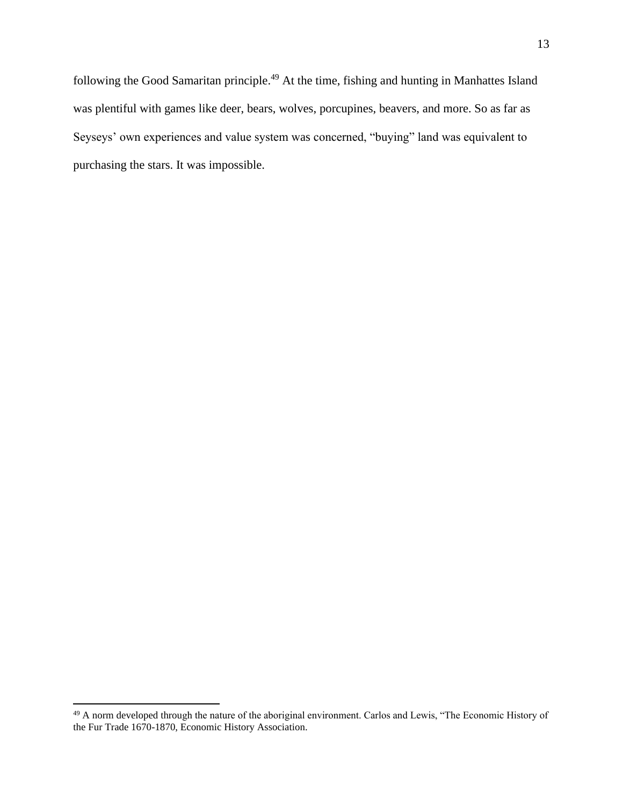following the Good Samaritan principle.<sup>49</sup> At the time, fishing and hunting in Manhattes Island was plentiful with games like deer, bears, wolves, porcupines, beavers, and more. So as far as Seyseys' own experiences and value system was concerned, "buying" land was equivalent to purchasing the stars. It was impossible.

<sup>49</sup> A norm developed through the nature of the aboriginal environment. Carlos and Lewis, "The Economic History of the Fur Trade 1670-1870, Economic History Association.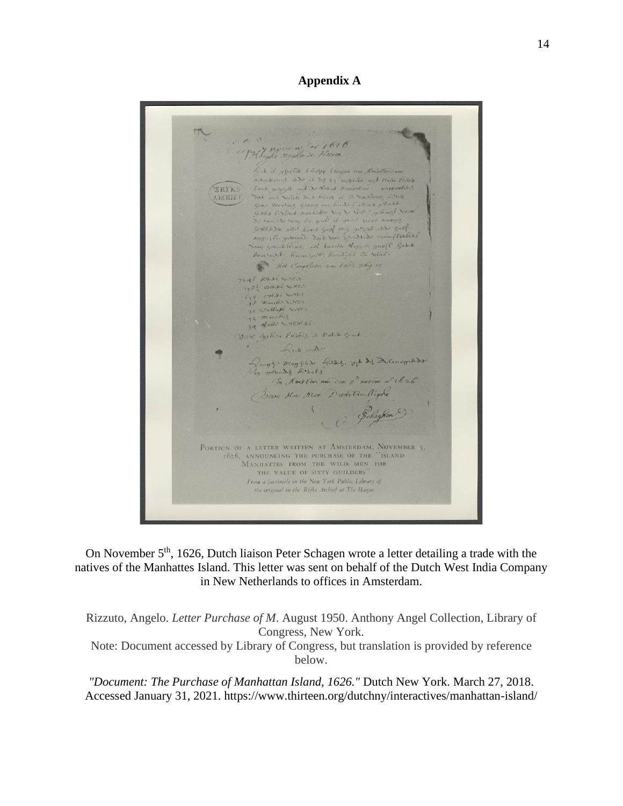**Appendix A**

 $16.68$ PH Loyle Rayhonde 3 Casa ful it applies there tower ren Renoton and adaptioned and it did 23 capture und rails Table Antonious and it of 23 applies und France Flows<br>That gauge as North and Care and the sampled<br>That and National Base of the New York and the Sampled<br>Great Trailers Annihaber New New York and New York<br>Great Partners Annihabe **SRYKS** ARCHIEF De van is say 60. quel il proof thee morals. of the same of the first sport was good and got<br>sure the ground. South and growth in the first of the ground of the same of the same of the same of the same o<br>Some ground Rouse, and handles they or your C. Got the Bourrout Rument, Confish in Sech. Hot Carpeloon was took ship is 7246 RULES WORLD 1782 OHAR WHEN  $675$  other over 36 Catholic weer 33 minutis<br>34 Halls WREP RE. Well gother Polities in Notific grit.  $\cdot$ hele motor Rooff Moffin Reed, of 21 Acmogrado as wounds Besols. In Amotor am den s? novem a Ub26 Dreve Hoo Neo: Dunstin, Right Beheghen PORTICN OF A LETTER WRITTEN AT AMSTERDAM, NOVEMBER 5. TION OF A LETTER WRITTEN AT AMSTERDAM, NOVEMBE<br>1626, ANNOUNCING THE PURCHASE OF THE "ISLAND<br>MANHATTES FROM THE WILD MEN FOR<br>THE VALUE OF SIXTY GUILDERS" From a factimile in the New York Public Library of the original in the Rijks Archief at The Hague

On November 5th, 1626, Dutch liaison Peter Schagen wrote a letter detailing a trade with the natives of the Manhattes Island. This letter was sent on behalf of the Dutch West India Company in New Netherlands to offices in Amsterdam.

Rizzuto, Angelo. *Letter Purchase of M*. August 1950. Anthony Angel Collection, Library of Congress, New York.

Note: Document accessed by Library of Congress, but translation is provided by reference below.

*"Document: The Purchase of Manhattan Island, 1626."* Dutch New York. March 27, 2018. Accessed January 31, 2021. https://www.thirteen.org/dutchny/interactives/manhattan-island/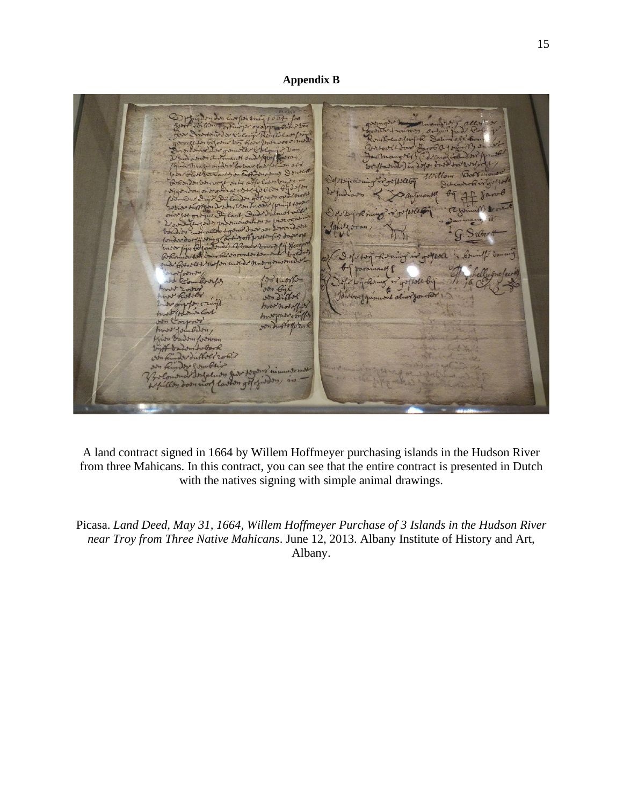# **Appendix B**

 $O<sub>2</sub>$  $13 - 13$ as worden under n  $1/1$ 

A land contract signed in 1664 by Willem Hoffmeyer purchasing islands in the Hudson River from three Mahicans. In this contract, you can see that the entire contract is presented in Dutch with the natives signing with simple animal drawings.

Picasa. *Land Deed, May 31, 1664, Willem Hoffmeyer Purchase of 3 Islands in the Hudson River near Troy from Three Native Mahicans*. June 12, 2013. Albany Institute of History and Art, Albany.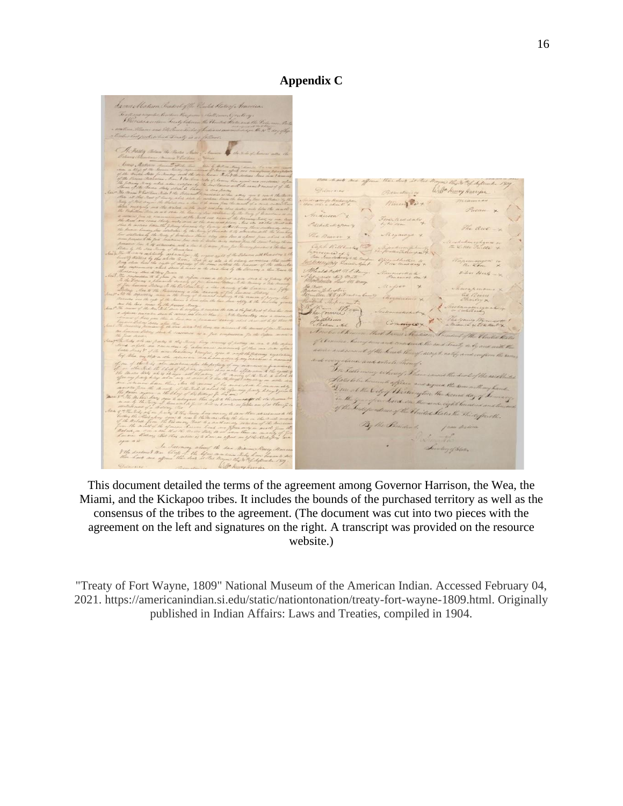James Madison President of the Vental States of Cabaccion bustelesson H. Winds A Finites Below the Marine us Main The D. P. S. Selection Process atomic of Wille henry Harryon Mining Cox " 1000 the Store Siber Hug  $C_{\sigma}$ Amback. In Tree wat the City of the mington the Lord on the sense eight has endonce of the United States the Thirtyfa By the President.  $\frac{1}{\sqrt{2}}$ Levelary of Chan. before more times theby born<br>to the trages the State

This document detailed the terms of the agreement among Governor Harrison, the Wea, the Miami, and the Kickapoo tribes. It includes the bounds of the purchased territory as well as the consensus of the tribes to the agreement. (The document was cut into two pieces with the agreement on the left and signatures on the right. A transcript was provided on the resource website.)

"Treaty of Fort Wayne, 1809" National Museum of the American Indian. Accessed February 04, 2021. https://americanindian.si.edu/static/nationtonation/treaty-fort-wayne-1809.html. Originally published in Indian Affairs: Laws and Treaties, compiled in 1904.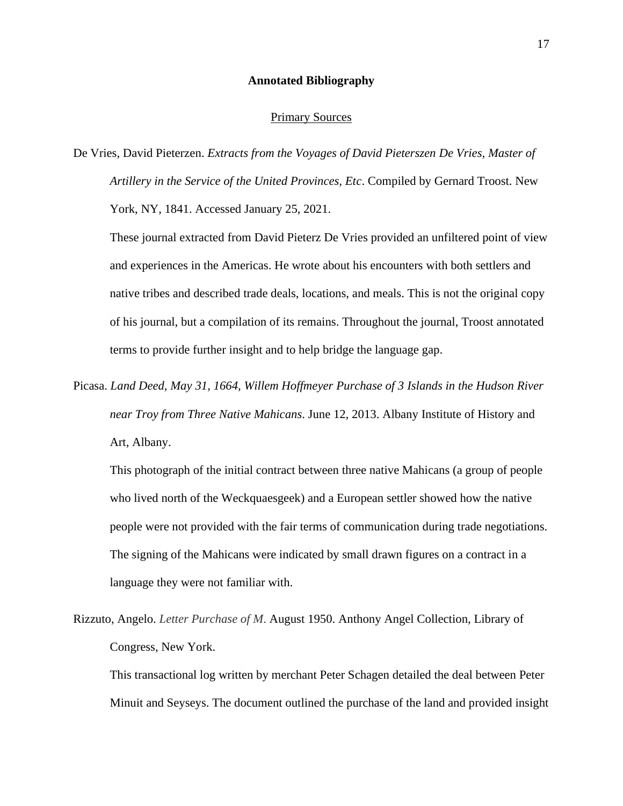#### **Annotated Bibliography**

## Primary Sources

De Vries, David Pieterzen. *Extracts from the Voyages of David Pieterszen De Vries, Master of Artillery in the Service of the United Provinces, Etc*. Compiled by Gernard Troost. New York, NY, 1841. Accessed January 25, 2021.

These journal extracted from David Pieterz De Vries provided an unfiltered point of view and experiences in the Americas. He wrote about his encounters with both settlers and native tribes and described trade deals, locations, and meals. This is not the original copy of his journal, but a compilation of its remains. Throughout the journal, Troost annotated terms to provide further insight and to help bridge the language gap.

Picasa. *Land Deed, May 31, 1664, Willem Hoffmeyer Purchase of 3 Islands in the Hudson River near Troy from Three Native Mahicans*. June 12, 2013. Albany Institute of History and Art, Albany.

This photograph of the initial contract between three native Mahicans (a group of people who lived north of the Weckquaesgeek) and a European settler showed how the native people were not provided with the fair terms of communication during trade negotiations. The signing of the Mahicans were indicated by small drawn figures on a contract in a language they were not familiar with.

Rizzuto, Angelo. *Letter Purchase of M*. August 1950. Anthony Angel Collection, Library of Congress, New York.

This transactional log written by merchant Peter Schagen detailed the deal between Peter Minuit and Seyseys. The document outlined the purchase of the land and provided insight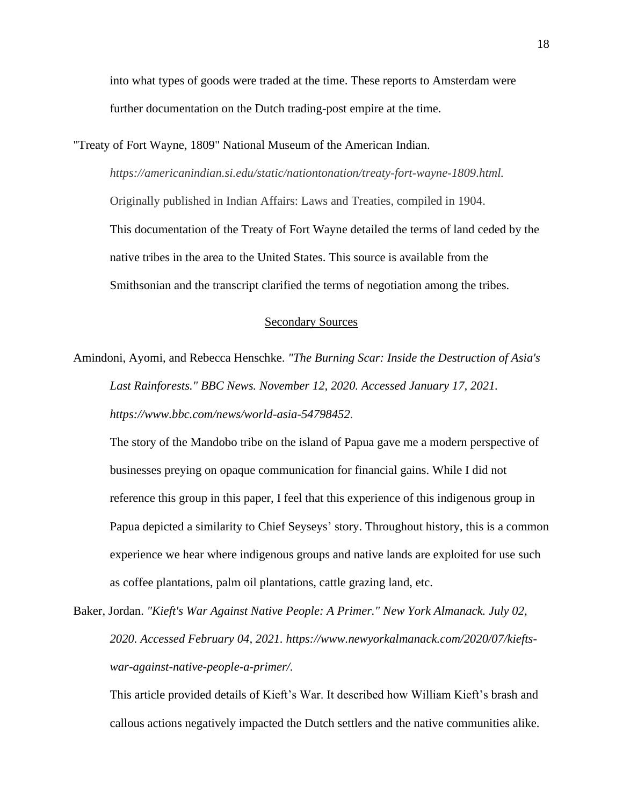into what types of goods were traded at the time. These reports to Amsterdam were further documentation on the Dutch trading-post empire at the time.

"Treaty of Fort Wayne, 1809" National Museum of the American Indian.

*https://americanindian.si.edu/static/nationtonation/treaty-fort-wayne-1809.html.*

Originally published in Indian Affairs: Laws and Treaties, compiled in 1904. This documentation of the Treaty of Fort Wayne detailed the terms of land ceded by the native tribes in the area to the United States. This source is available from the Smithsonian and the transcript clarified the terms of negotiation among the tribes.

# Secondary Sources

Amindoni, Ayomi, and Rebecca Henschke. *"The Burning Scar: Inside the Destruction of Asia's Last Rainforests." BBC News. November 12, 2020. Accessed January 17, 2021. https://www.bbc.com/news/world-asia-54798452*.

The story of the Mandobo tribe on the island of Papua gave me a modern perspective of businesses preying on opaque communication for financial gains. While I did not reference this group in this paper, I feel that this experience of this indigenous group in Papua depicted a similarity to Chief Seyseys' story. Throughout history, this is a common experience we hear where indigenous groups and native lands are exploited for use such as coffee plantations, palm oil plantations, cattle grazing land, etc.

Baker, Jordan. *"Kieft's War Against Native People: A Primer." New York Almanack. July 02, 2020. Accessed February 04, 2021. https://www.newyorkalmanack.com/2020/07/kieftswar-against-native-people-a-primer/.*

This article provided details of Kieft's War. It described how William Kieft's brash and callous actions negatively impacted the Dutch settlers and the native communities alike.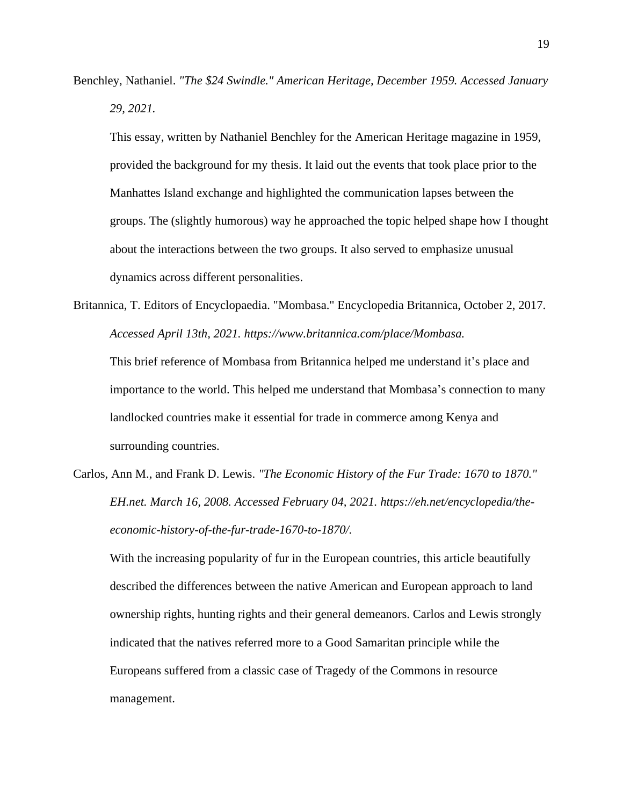Benchley, Nathaniel. *"The \$24 Swindle." American Heritage, December 1959. Accessed January 29, 2021.*

This essay, written by Nathaniel Benchley for the American Heritage magazine in 1959, provided the background for my thesis. It laid out the events that took place prior to the Manhattes Island exchange and highlighted the communication lapses between the groups. The (slightly humorous) way he approached the topic helped shape how I thought about the interactions between the two groups. It also served to emphasize unusual dynamics across different personalities.

Britannica, T. Editors of Encyclopaedia. "Mombasa." Encyclopedia Britannica, October 2, 2017. *Accessed April 13th, 2021. https://www.britannica.com/place/Mombasa.*

This brief reference of Mombasa from Britannica helped me understand it's place and importance to the world. This helped me understand that Mombasa's connection to many landlocked countries make it essential for trade in commerce among Kenya and surrounding countries.

Carlos, Ann M., and Frank D. Lewis. *"The Economic History of the Fur Trade: 1670 to 1870." EH.net. March 16, 2008. Accessed February 04, 2021. https://eh.net/encyclopedia/theeconomic-history-of-the-fur-trade-1670-to-1870/.*

With the increasing popularity of fur in the European countries, this article beautifully described the differences between the native American and European approach to land ownership rights, hunting rights and their general demeanors. Carlos and Lewis strongly indicated that the natives referred more to a Good Samaritan principle while the Europeans suffered from a classic case of Tragedy of the Commons in resource management.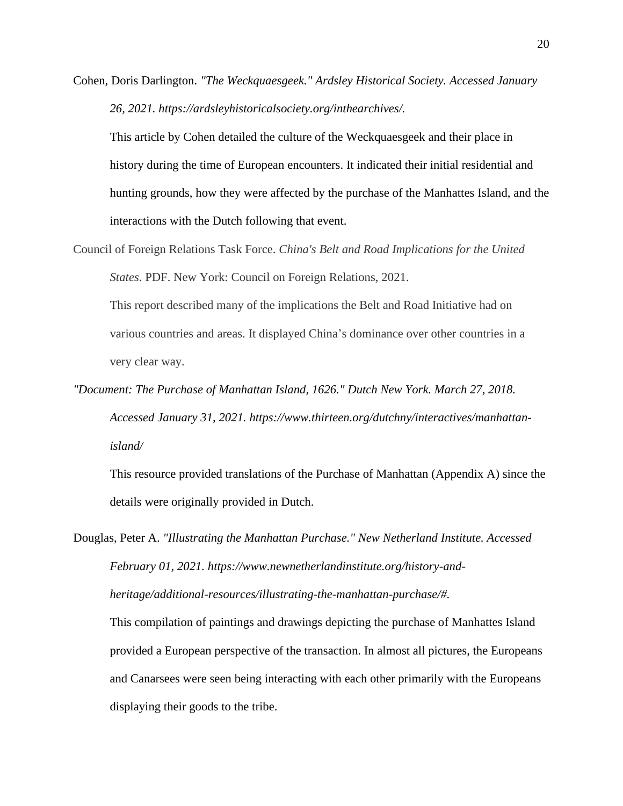Cohen, Doris Darlington. *"The Weckquaesgeek." Ardsley Historical Society. Accessed January 26, 2021. https://ardsleyhistoricalsociety.org/inthearchives/.*

This article by Cohen detailed the culture of the Weckquaesgeek and their place in history during the time of European encounters. It indicated their initial residential and hunting grounds, how they were affected by the purchase of the Manhattes Island, and the interactions with the Dutch following that event.

Council of Foreign Relations Task Force. *China's Belt and Road Implications for the United States*. PDF. New York: Council on Foreign Relations, 2021.

This report described many of the implications the Belt and Road Initiative had on various countries and areas. It displayed China's dominance over other countries in a very clear way.

*"Document: The Purchase of Manhattan Island, 1626." Dutch New York. March 27, 2018. Accessed January 31, 2021. https://www.thirteen.org/dutchny/interactives/manhattanisland/*

This resource provided translations of the Purchase of Manhattan (Appendix A) since the details were originally provided in Dutch.

Douglas, Peter A. *"Illustrating the Manhattan Purchase." New Netherland Institute. Accessed February 01, 2021. https://www.newnetherlandinstitute.org/history-andheritage/additional-resources/illustrating-the-manhattan-purchase/#.* This compilation of paintings and drawings depicting the purchase of Manhattes Island provided a European perspective of the transaction. In almost all pictures, the Europeans and Canarsees were seen being interacting with each other primarily with the Europeans

displaying their goods to the tribe.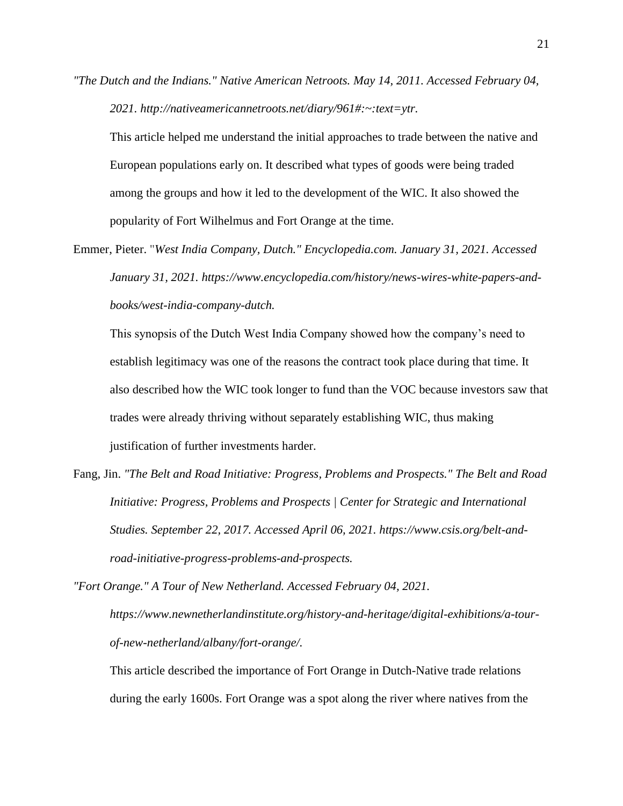*"The Dutch and the Indians." Native American Netroots. May 14, 2011. Accessed February 04, 2021. http://nativeamericannetroots.net/diary/961#:~:text=ytr.*

This article helped me understand the initial approaches to trade between the native and European populations early on. It described what types of goods were being traded among the groups and how it led to the development of the WIC. It also showed the popularity of Fort Wilhelmus and Fort Orange at the time.

Emmer, Pieter. "*West India Company, Dutch." Encyclopedia.com. January 31, 2021. Accessed January 31, 2021. https://www.encyclopedia.com/history/news-wires-white-papers-andbooks/west-india-company-dutch.*

This synopsis of the Dutch West India Company showed how the company's need to establish legitimacy was one of the reasons the contract took place during that time. It also described how the WIC took longer to fund than the VOC because investors saw that trades were already thriving without separately establishing WIC, thus making justification of further investments harder.

Fang, Jin. *"The Belt and Road Initiative: Progress, Problems and Prospects." The Belt and Road Initiative: Progress, Problems and Prospects | Center for Strategic and International Studies. September 22, 2017. Accessed April 06, 2021. https://www.csis.org/belt-androad-initiative-progress-problems-and-prospects.*

*"Fort Orange." A Tour of New Netherland. Accessed February 04, 2021. https://www.newnetherlandinstitute.org/history-and-heritage/digital-exhibitions/a-tourof-new-netherland/albany/fort-orange/.*

This article described the importance of Fort Orange in Dutch-Native trade relations during the early 1600s. Fort Orange was a spot along the river where natives from the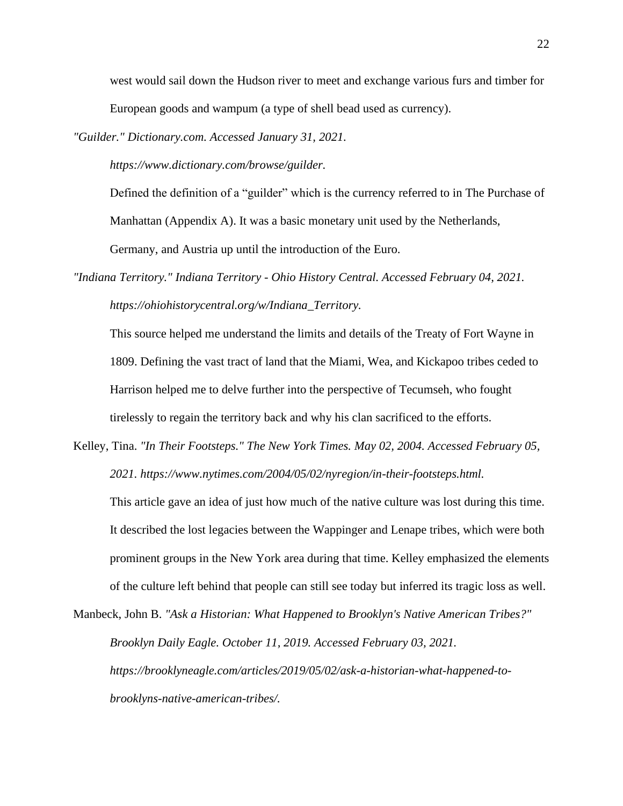west would sail down the Hudson river to meet and exchange various furs and timber for European goods and wampum (a type of shell bead used as currency).

*"Guilder." Dictionary.com. Accessed January 31, 2021.*

*https://www.dictionary.com/browse/guilder.*

Defined the definition of a "guilder" which is the currency referred to in The Purchase of Manhattan (Appendix A). It was a basic monetary unit used by the Netherlands,

Germany, and Austria up until the introduction of the Euro.

*"Indiana Territory." Indiana Territory - Ohio History Central. Accessed February 04, 2021. https://ohiohistorycentral.org/w/Indiana\_Territory.*

This source helped me understand the limits and details of the Treaty of Fort Wayne in 1809. Defining the vast tract of land that the Miami, Wea, and Kickapoo tribes ceded to Harrison helped me to delve further into the perspective of Tecumseh, who fought tirelessly to regain the territory back and why his clan sacrificed to the efforts.

Kelley, Tina. *"In Their Footsteps." The New York Times. May 02, 2004. Accessed February 05, 2021. https://www.nytimes.com/2004/05/02/nyregion/in-their-footsteps.html.*

This article gave an idea of just how much of the native culture was lost during this time. It described the lost legacies between the Wappinger and Lenape tribes, which were both prominent groups in the New York area during that time. Kelley emphasized the elements of the culture left behind that people can still see today but inferred its tragic loss as well.

Manbeck, John B. *"Ask a Historian: What Happened to Brooklyn's Native American Tribes?" Brooklyn Daily Eagle. October 11, 2019. Accessed February 03, 2021. https://brooklyneagle.com/articles/2019/05/02/ask-a-historian-what-happened-tobrooklyns-native-american-tribes/.*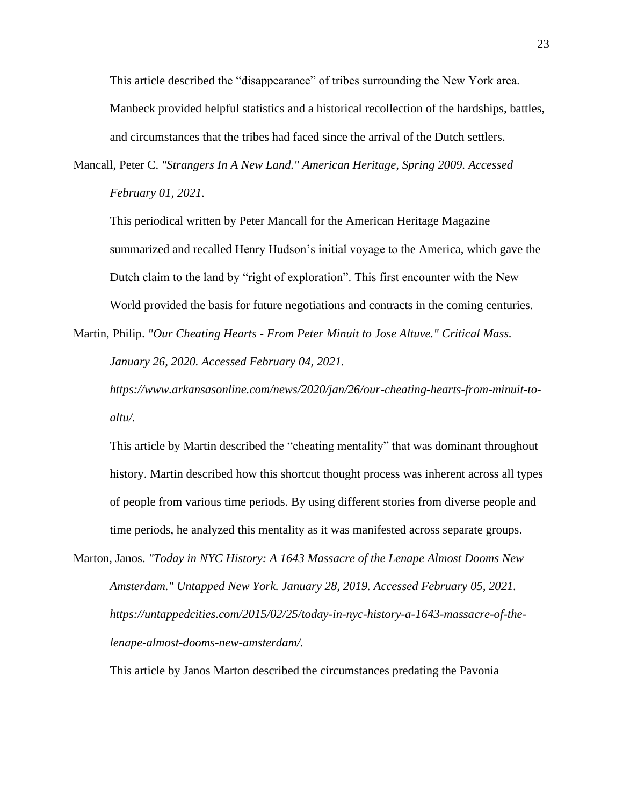This article described the "disappearance" of tribes surrounding the New York area. Manbeck provided helpful statistics and a historical recollection of the hardships, battles, and circumstances that the tribes had faced since the arrival of the Dutch settlers.

Mancall, Peter C. *"Strangers In A New Land." American Heritage, Spring 2009. Accessed February 01, 2021.*

This periodical written by Peter Mancall for the American Heritage Magazine summarized and recalled Henry Hudson's initial voyage to the America, which gave the Dutch claim to the land by "right of exploration". This first encounter with the New World provided the basis for future negotiations and contracts in the coming centuries.

Martin, Philip. *"Our Cheating Hearts - From Peter Minuit to Jose Altuve." Critical Mass. January 26, 2020. Accessed February 04, 2021.* 

*https://www.arkansasonline.com/news/2020/jan/26/our-cheating-hearts-from-minuit-toaltu/.*

This article by Martin described the "cheating mentality" that was dominant throughout history. Martin described how this shortcut thought process was inherent across all types of people from various time periods. By using different stories from diverse people and time periods, he analyzed this mentality as it was manifested across separate groups.

Marton, Janos. *"Today in NYC History: A 1643 Massacre of the Lenape Almost Dooms New Amsterdam." Untapped New York. January 28, 2019. Accessed February 05, 2021. https://untappedcities.com/2015/02/25/today-in-nyc-history-a-1643-massacre-of-thelenape-almost-dooms-new-amsterdam/.*

This article by Janos Marton described the circumstances predating the Pavonia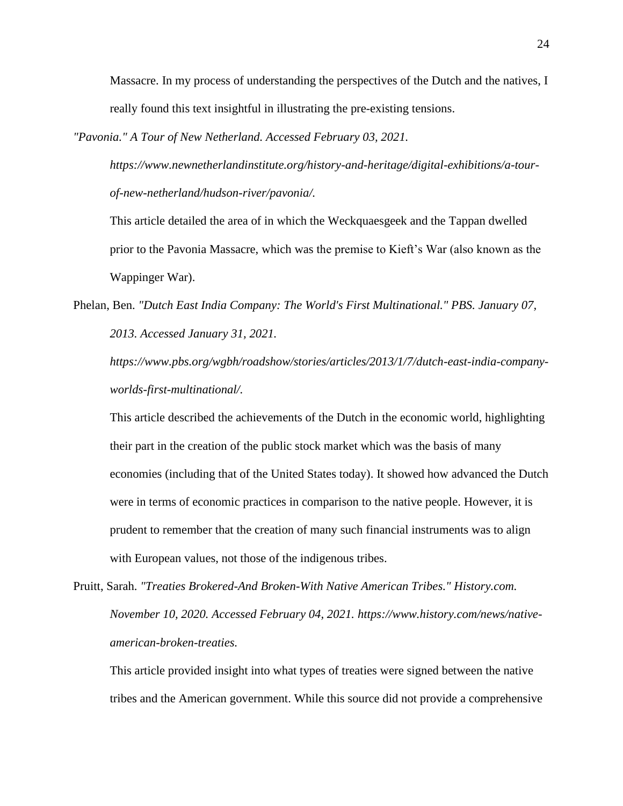Massacre. In my process of understanding the perspectives of the Dutch and the natives, I really found this text insightful in illustrating the pre-existing tensions.

*"Pavonia." A Tour of New Netherland. Accessed February 03, 2021.* 

*https://www.newnetherlandinstitute.org/history-and-heritage/digital-exhibitions/a-tourof-new-netherland/hudson-river/pavonia/.*

This article detailed the area of in which the Weckquaesgeek and the Tappan dwelled prior to the Pavonia Massacre, which was the premise to Kieft's War (also known as the Wappinger War).

Phelan, Ben. *"Dutch East India Company: The World's First Multinational." PBS. January 07, 2013. Accessed January 31, 2021.* 

*https://www.pbs.org/wgbh/roadshow/stories/articles/2013/1/7/dutch-east-india-companyworlds-first-multinational/.*

This article described the achievements of the Dutch in the economic world, highlighting their part in the creation of the public stock market which was the basis of many economies (including that of the United States today). It showed how advanced the Dutch were in terms of economic practices in comparison to the native people. However, it is prudent to remember that the creation of many such financial instruments was to align with European values, not those of the indigenous tribes.

Pruitt, Sarah. *"Treaties Brokered-And Broken-With Native American Tribes." History.com. November 10, 2020. Accessed February 04, 2021. https://www.history.com/news/nativeamerican-broken-treaties.*

This article provided insight into what types of treaties were signed between the native tribes and the American government. While this source did not provide a comprehensive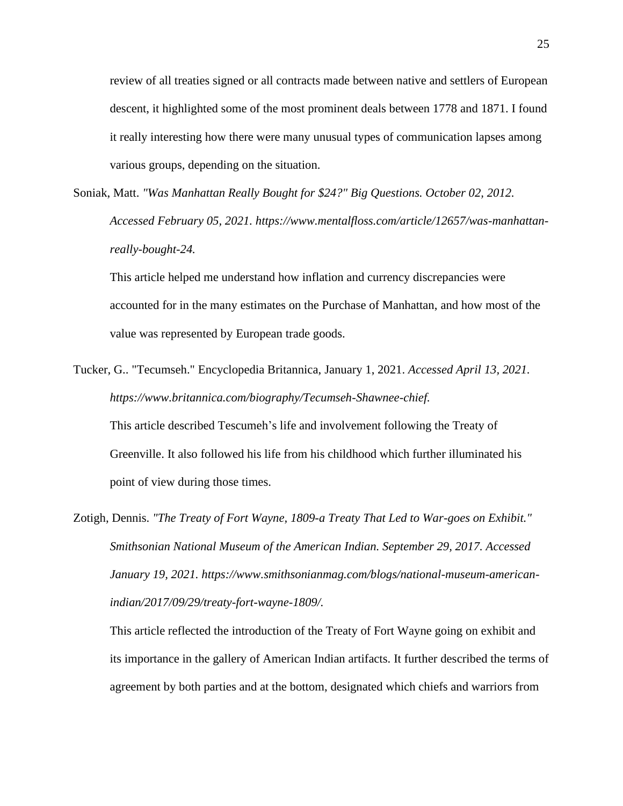review of all treaties signed or all contracts made between native and settlers of European descent, it highlighted some of the most prominent deals between 1778 and 1871. I found it really interesting how there were many unusual types of communication lapses among various groups, depending on the situation.

Soniak, Matt. *"Was Manhattan Really Bought for \$24?" Big Questions. October 02, 2012. Accessed February 05, 2021. https://www.mentalfloss.com/article/12657/was-manhattanreally-bought-24.*

This article helped me understand how inflation and currency discrepancies were accounted for in the many estimates on the Purchase of Manhattan, and how most of the value was represented by European trade goods.

Tucker, G.. "Tecumseh." Encyclopedia Britannica, January 1, 2021. *Accessed April 13, 2021. https://www.britannica.com/biography/Tecumseh-Shawnee-chief.* This article described Tescumeh's life and involvement following the Treaty of

Greenville. It also followed his life from his childhood which further illuminated his point of view during those times.

Zotigh, Dennis. *"The Treaty of Fort Wayne, 1809-a Treaty That Led to War-goes on Exhibit." Smithsonian National Museum of the American Indian. September 29, 2017. Accessed January 19, 2021. https://www.smithsonianmag.com/blogs/national-museum-americanindian/2017/09/29/treaty-fort-wayne-1809/.*

This article reflected the introduction of the Treaty of Fort Wayne going on exhibit and its importance in the gallery of American Indian artifacts. It further described the terms of agreement by both parties and at the bottom, designated which chiefs and warriors from